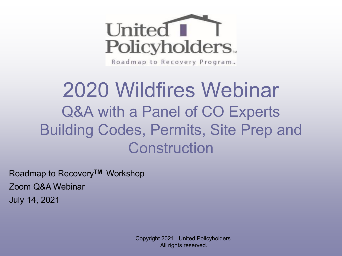

Roadmap to Recovery Program.

# 2020 Wildfires Webinar Q&A with a Panel of CO Experts Building Codes, Permits, Site Prep and **Construction**

Roadmap to Recovery**TM** Workshop Zoom Q&A Webinar July 14, 2021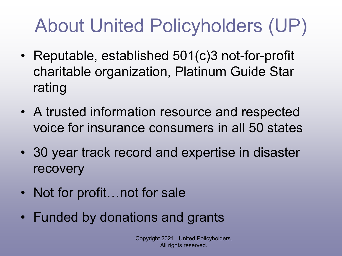# About United Policyholders (UP)

- Reputable, established 501(c)3 not-for-profit charitable organization, Platinum Guide Star rating
- A trusted information resource and respected voice for insurance consumers in all 50 states
- 30 year track record and expertise in disaster recovery
- Not for profit...not for sale
- Funded by donations and grants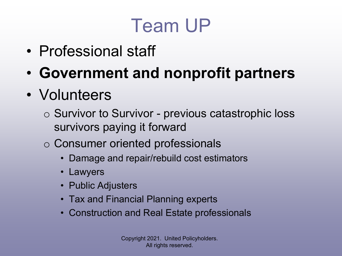# Team UP

- Professional staff
- **Government and nonprofit partners**
- Volunteers
	- o Survivor to Survivor previous catastrophic loss survivors paying it forward
	- o Consumer oriented professionals
		- Damage and repair/rebuild cost estimators
		- Lawyers
		- Public Adjusters
		- Tax and Financial Planning experts
		- Construction and Real Estate professionals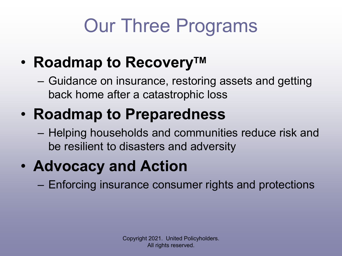# Our Three Programs

- **Roadmap to Recovery™** 
	- Guidance on insurance, restoring assets and getting back home after a catastrophic loss
- **Roadmap to Preparedness**
	- Helping households and communities reduce risk and be resilient to disasters and adversity
- **Advocacy and Action**
	- Enforcing insurance consumer rights and protections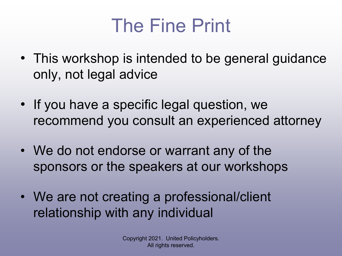# The Fine Print

- This workshop is intended to be general guidance only, not legal advice
- If you have a specific legal question, we recommend you consult an experienced attorney
- We do not endorse or warrant any of the sponsors or the speakers at our workshops
- We are not creating a professional/client relationship with any individual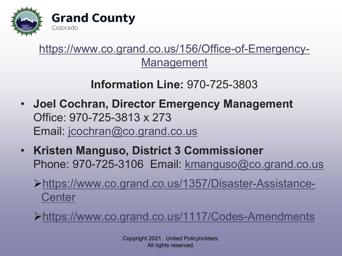

### [https://www.co.grand.co.us/156/Office-of-Emergency-](https://www.co.grand.co.us/156/Office-of-Emergency-Management)**Management**

### **Information Line:** 970-725-3803

- **Joel Cochran, Director Emergency Management** Office: 970-725-3813 x 273 Email: [jcochran@co.grand.co.us](mailto:jcochran@co.grand.co.us)
- **Kristen Manguso, District 3 Commissioner**  Phone: 970-725-3106 Email: kmanguso@co.grand.co.us
	- [https://www.co.grand.co.us/1357/Disaster-Assistance-](https://www.co.grand.co.us/1357/Disaster-Assistance-Center)**Center**

<https://www.co.grand.co.us/1117/Codes-Amendments>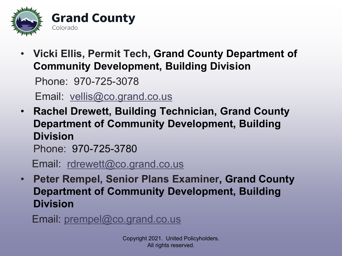

• **Vicki Ellis, Permit Tech, Grand County Department of Community Development, Building Division**

Phone: 970-725-3078

Email: [vellis@co.grand.co.us](mailto:Permit%20Tech%20Mar%203,%202021)

• **Rachel Drewett, Building Technician, Grand County Department of Community Development, Building Division**

Phone: 970-725-3780

Email: [rdrewett@co.grand.co.us](mailto:rdrewett@co.grand.co.us)

• **Peter Rempel, Senior Plans Examiner, Grand County Department of Community Development, Building Division**

Email: [prempel@co.grand.co.us](mailto:prempel@co.grand.co.us)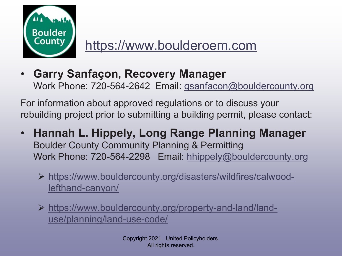

### [https://www.boulderoem.com](https://www.boulderoem.com/disaster-preparedness/)

• **Garry Sanfaçon, Recovery Manager** Work Phone: 720-564-2642 Email: [gsanfacon@bouldercounty.org](mailto:gsanfacon@bouldercounty.org)

For information about approved regulations or to discuss your rebuilding project prior to submitting a building permit, please contact:

- **Hannah L. Hippely, Long Range Planning Manager** Boulder County Community Planning & Permitting Work Phone: 720-564-2298 Email: [hhippely@bouldercounty.org](mailto:hhippely@bouldercounty.org)
	- [https://www.bouldercounty.org/disasters/wildfires/calwood](https://www.bouldercounty.org/disasters/wildfires/calwood-lefthand-canyon/)lefthand-canyon/
	- https://www.bouldercounty.org/property-and-land/landuse/planning/land-use-code/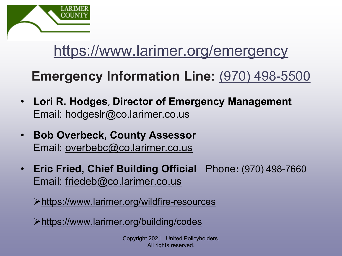

## <https://www.larimer.org/emergency>

## **Emergency Information Line:** [\(970\) 498-5500](tel:(970)%20498-5500)

- **Lori R. Hodges**, **Director of Emergency Management** Email: hodgeslr@co.larimer.co.us
- **Bob Overbeck, County Assessor**  Email: [overbebc@co.larimer.co.us](mailto:overbebc@co.larimer.co.us)
- **Eric Fried, Chief Building Official** Phone**:** (970) 498-7660 Email: [friedeb@co.larimer.co.us](mailto:friedeb@co.larimer.co.us)

<https://www.larimer.org/wildfire-resources>

<https://www.larimer.org/building/codes>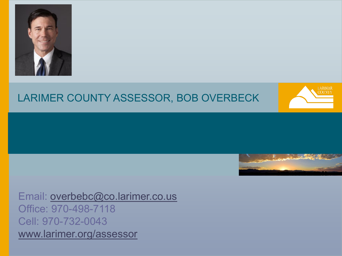

#### LARIMER COUNTY ASSESSOR, BOB OVERBECK





Email: [overbebc@co.larimer.co.us](mailto:overbebc@co.larimer.co.us) Office: 970-498-7118 Cell: 970-732-0043 [www.larimer.org/assessor](https://www.larimer.org/assessor-noprotest)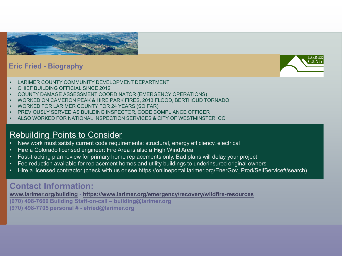

#### **Eric Fried - Biography**



- LARIMER COUNTY COMMUNITY DEVELOPMENT DEPARTMENT
- CHIEF BUILDING OFFICIAL SINCE 2012
- COUNTY DAMAGE ASSESSMENT COORDINATOR (EMERGENCY OPERATIONS)
- WORKED ON CAMERON PEAK & HIRE PARK FIRES, 2013 FLOOD, BERTHOUD TORNADO
- WORKED FOR LARIMER COUNTY FOR 24 YEARS (SO FAR)
- PREVIOUSLY SERVED AS BUILDING INSPECTOR, CODE COMPLIANCE OFFICER
- ALSO WORKED FOR NATIONAL INSPECTION SERVICES & CITY OF WESTMINSTER, CO

#### Rebuilding Points to Consider

- New work must satisfy current code requirements: structural, energy efficiency, electrical
- Hire a Colorado licensed engineer: Fire Area is also a High Wind Area
- Fast-tracking plan review for primary home replacements only. Bad plans will delay your project.
- Fee reduction available for replacement homes and utility buildings to underinsured original owners
- Hire a licensed contractor (check with us or see https://onlineportal.larimer.org/EnerGov\_Prod/SelfService#/search)

#### **Contact Information:**

**[www.larimer.org/building](http://www.larimer.org/building) - <https://www.larimer.org/emergency/recovery/wildfire-resources>**

**(970) 498-7660 Building Staff-on-call – building@larimer.org**

**(970) 498-7705 personal # - efried@larimer.org**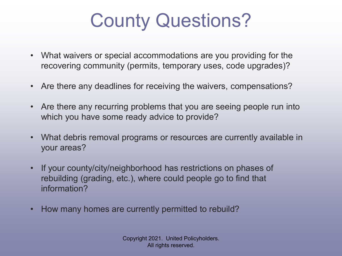# County Questions?

- What waivers or special accommodations are you providing for the recovering community (permits, temporary uses, code upgrades)?
- Are there any deadlines for receiving the waivers, compensations?
- Are there any recurring problems that you are seeing people run into which you have some ready advice to provide?
- What debris removal programs or resources are currently available in your areas?
- If your county/city/neighborhood has restrictions on phases of rebuilding (grading, etc.), where could people go to find that information?
- How many homes are currently permitted to rebuild?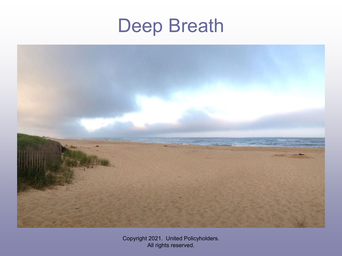# Deep Breath

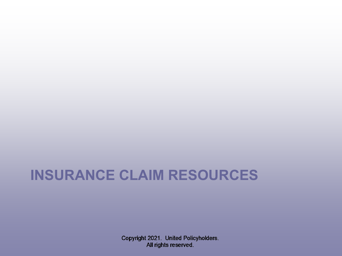## **INSURANCE CLAIM RESOURCES**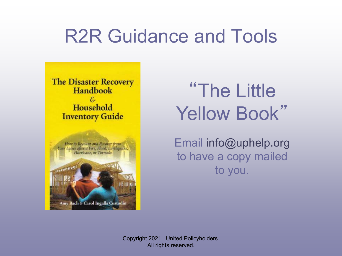# R2R Guidance and Tools

**The Disaster Recovery Handbook**  $-\mathcal{E}$ Household **Inventory Guide** 



"The Little Yellow Book"

Email [info@uphelp.org](mailto:info@uphelp.org) to have a copy mailed to you.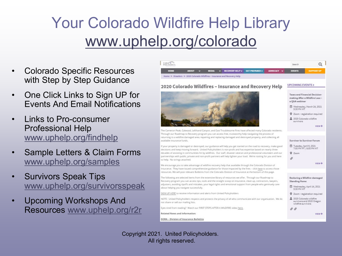## Your Colorado Wildfire Help Library [www.uphelp.org/colorado](http://www.uphelp.org/colorado)

- Colorado Specific Resources with Step by Step Guidance
- One Click Links to Sign UP for Events And Email Notifications
- Links to Pro-consumer Professional Help [www.uphelp.org/findhelp](http://www.uphelp.org/findhelp)
- Sample Letters & Claim Forms [www.uphelp.org/samples](http://www.uphelp.org/samples)
- Survivors Speak Tips [www.uphelp.org/survivorsspeak](http://www.uphelp.org/survivorsspeak)
- Upcoming Workshops And Resources [www.uphelp.org/r2r](http://www.uphelp.org/r2r)

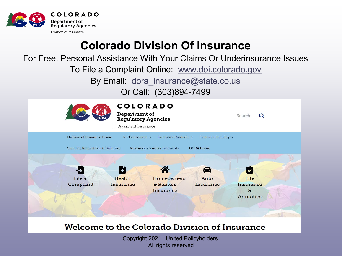

### **Colorado Division Of Insurance**

For Free, Personal Assistance With Your Claims Or Underinsurance Issues

To File a Complaint Online: [www.doi.colorado.gov](http://www.doi.colorado.gov/)

By Email: [dora\\_insurance@state.co.us](mailto:dora_insurance@state.co.us)

Or Call: (303)894-7499



#### Welcome to the Colorado Division of Insurance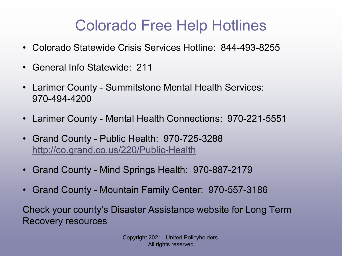## Colorado Free Help Hotlines

- Colorado Statewide Crisis Services Hotline: 844-493-8255
- General Info Statewide: 211
- Larimer County Summitstone Mental Health Services: 970-494-4200
- Larimer County Mental Health Connections: 970-221-5551
- Grand County Public Health: 970-725-3288 <http://co.grand.co.us/220/Public-Health>
- Grand County Mind Springs Health: 970-887-2179
- Grand County Mountain Family Center: 970-557-3186

Check your county's Disaster Assistance website for Long Term Recovery resources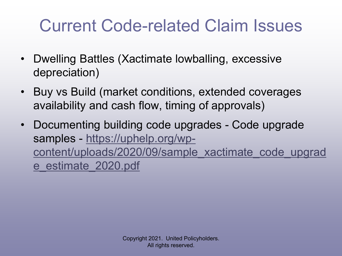# Current Code-related Claim Issues

- Dwelling Battles (Xactimate lowballing, excessive depreciation)
- Buy vs Build (market conditions, extended coverages availability and cash flow, timing of approvals)
- Documenting building code upgrades Code upgrade samples - https://uphelp.org/wp[content/uploads/2020/09/sample\\_xactimate\\_code\\_upgrad](https://uphelp.org/wp-content/uploads/2020/09/sample_xactimate_code_upgrade_estimate_2020.pdf) e\_estimate\_2020.pdf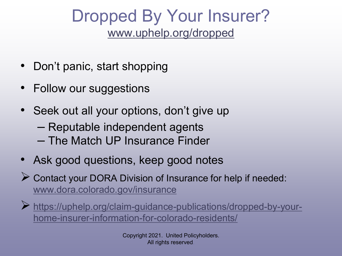## Dropped By Your Insurer? [www.uphelp.org/dropped](http://www.uphelp.org/dropped)

- Don't panic, start shopping
- Follow our suggestions
- Seek out all your options, don't give up
	- Reputable independent agents
	- The Match UP Insurance Finder
- Ask good questions, keep good notes
- Contact your DORA Division of Insurance for help if needed: [www.dora.colorado.gov/insurance](http://www.dora.colorado.gov/insurance)
- [https://uphelp.org/claim-guidance-publications/dropped-by-your](https://uphelp.org/claim-guidance-publications/dropped-by-your-home-insurer-information-for-colorado-residents/)home-insurer-information-for-colorado-residents/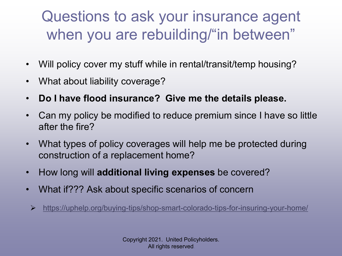## Questions to ask your insurance agent when you are rebuilding/"in between"

- Will policy cover my stuff while in rental/transit/temp housing?
- What about liability coverage?
- **Do I have flood insurance? Give me the details please.**
- Can my policy be modified to reduce premium since I have so little after the fire?
- What types of policy coverages will help me be protected during construction of a replacement home?
- How long will **additional living expenses** be covered?
- What if??? Ask about specific scenarios of concern
- <https://uphelp.org/buying-tips/shop-smart-colorado-tips-for-insuring-your-home/>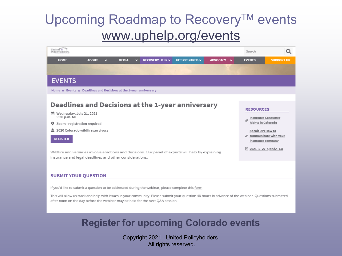### Upcoming Roadmap to Recovery™ events [www.uphelp.org/events](http://www.uphelp.org/events)

| United <b>I</b><br>Policyholder                                                                                                                                                                                                                                                                                                                                          | Search        | O                                                                                                                                                                          |  |
|--------------------------------------------------------------------------------------------------------------------------------------------------------------------------------------------------------------------------------------------------------------------------------------------------------------------------------------------------------------------------|---------------|----------------------------------------------------------------------------------------------------------------------------------------------------------------------------|--|
| <b>HOME</b><br><b>GET PREPARED V</b><br>ADVOCACY V<br><b>ABOUT</b><br><b>MEDIA</b><br>RECOVERY HELP $\vee$<br>×.<br>v.                                                                                                                                                                                                                                                   | <b>EVENTS</b> | <b>SUPPORT UP</b>                                                                                                                                                          |  |
|                                                                                                                                                                                                                                                                                                                                                                          |               |                                                                                                                                                                            |  |
| <b>EVENTS</b>                                                                                                                                                                                                                                                                                                                                                            |               |                                                                                                                                                                            |  |
| Home » Events » Deadlines and Decisions at the 1-year anniversary                                                                                                                                                                                                                                                                                                        |               |                                                                                                                                                                            |  |
|                                                                                                                                                                                                                                                                                                                                                                          |               |                                                                                                                                                                            |  |
| Deadlines and Decisions at the 1-year anniversary<br><sup>菌</sup> Wednesday, July 21, 2021<br>5:30 p.m. MT<br>Zoom - registration required<br>Q<br>2020 Colorado wildfire survivors<br><b>REGISTER</b><br>Wildfire anniversaries involve emotions and decisions. Our panel of experts will help by explaining<br>insurance and legal deadlines and other considerations. |               | <b>RESOURCES</b><br><b>Insurance Consumer</b><br>Rights in Colorado<br>Speak UP: How to<br>$\mathcal O$ communicate with your<br>insurance company<br>□ 2021 5 27 QandA CO |  |
| <b>SUBMIT YOUR QUESTION</b><br>If you'd like to submit a question to be addressed during the webinar, please complete this form<br>This will allow us track and help with issues in your community. Please submit your question 48 hours in advance of the webinar. Questions submitted                                                                                  |               |                                                                                                                                                                            |  |

#### **Register for upcoming Colorado events**

after noon on the day before the webinar may be held for the next Q&A session.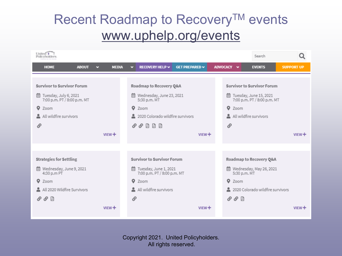## Recent Roadmap to Recovery™ events [www.uphelp.org/events](http://www.uphelp.org/events)

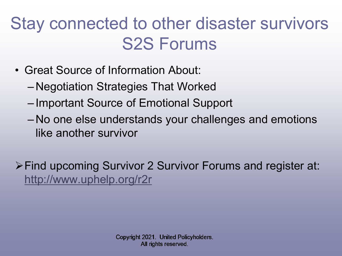# Stay connected to other disaster survivors S2S Forums

- Great Source of Information About:
	- Negotiation Strategies That Worked
	- Important Source of Emotional Support
	- No one else understands your challenges and emotions like another survivor

Find upcoming Survivor 2 Survivor Forums and register at: <http://www.uphelp.org/r2r>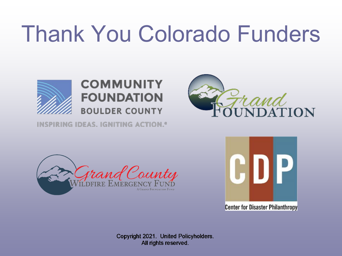# Thank You Colorado Funders



#### **COMMUNITY FOUNDATION BOULDER COUNTY**

INSPIRING IDEAS, IGNITING ACTION.<sup>®</sup>







**Center for Disaster Philanthropy**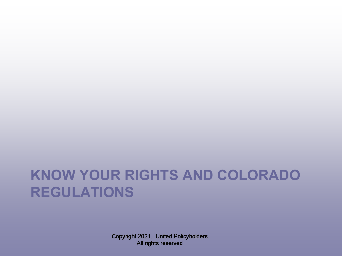## **KNOW YOUR RIGHTS AND COLORADO REGULATIONS**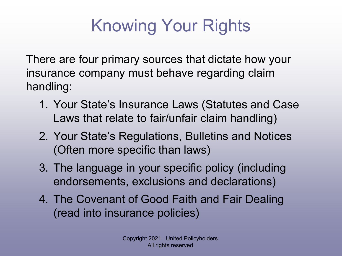# Knowing Your Rights

There are four primary sources that dictate how your insurance company must behave regarding claim handling:

- 1. Your State's Insurance Laws (Statutes and Case Laws that relate to fair/unfair claim handling)
- 2. Your State's Regulations, Bulletins and Notices (Often more specific than laws)
- 3. The language in your specific policy (including endorsements, exclusions and declarations)
- 4. The Covenant of Good Faith and Fair Dealing (read into insurance policies)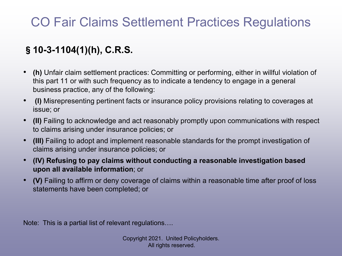## CO Fair Claims Settlement Practices Regulations

#### §**10-3-1104(1)(h), C.R.S.**

- **(h)** Unfair claim settlement practices: Committing or performing, either in willful violation of this part 11 or with such frequency as to indicate a tendency to engage in a general business practice, any of the following:
- **(I)** Misrepresenting pertinent facts or insurance policy provisions relating to coverages at issue; or
- **(II)** Failing to acknowledge and act reasonably promptly upon communications with respect to claims arising under insurance policies; or
- **(III)** Failing to adopt and implement reasonable standards for the prompt investigation of claims arising under insurance policies; or
- **(IV) Refusing to pay claims without conducting a reasonable investigation based upon all available information**; or
- **(V)** Failing to affirm or deny coverage of claims within a reasonable time after proof of loss statements have been completed; or

Note: This is a partial list of relevant regulations….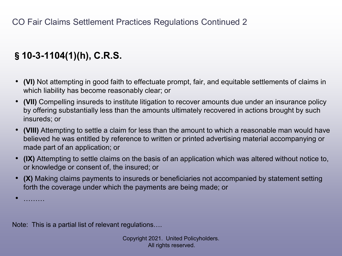#### §**10-3-1104(1)(h), C.R.S.**

- **(VI)** Not attempting in good faith to effectuate prompt, fair, and equitable settlements of claims in which liability has become reasonably clear; or
- **(VII)** Compelling insureds to institute litigation to recover amounts due under an insurance policy by offering substantially less than the amounts ultimately recovered in actions brought by such insureds; or
- **(VIII)** Attempting to settle a claim for less than the amount to which a reasonable man would have believed he was entitled by reference to written or printed advertising material accompanying or made part of an application; or
- **(IX)** Attempting to settle claims on the basis of an application which was altered without notice to, or knowledge or consent of, the insured; or
- **(X)** Making claims payments to insureds or beneficiaries not accompanied by statement setting forth the coverage under which the payments are being made; or

• ………

Note: This is a partial list of relevant regulations….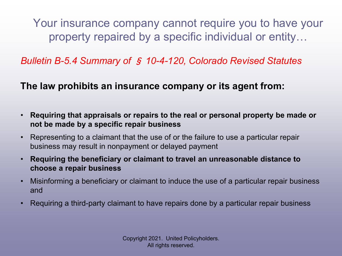Your insurance company cannot require you to have your property repaired by a specific individual or entity…

*Bulletin B-5.4 Summary of* § *10-4-120, Colorado Revised Statutes*

**The law prohibits an insurance company or its agent from:**

- **Requiring that appraisals or repairs to the real or personal property be made or not be made by a specific repair business**
- Representing to a claimant that the use of or the failure to use a particular repair business may result in nonpayment or delayed payment
- **Requiring the beneficiary or claimant to travel an unreasonable distance to choose a repair business**
- Misinforming a beneficiary or claimant to induce the use of a particular repair business and
- Requiring a third-party claimant to have repairs done by a particular repair business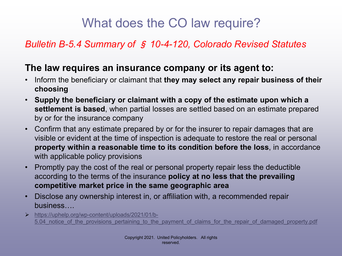### What does the CO law require?

#### *Bulletin B-5.4 Summary of* § *10-4-120, Colorado Revised Statutes*

#### **The law requires an insurance company or its agent to:**

- Inform the beneficiary or claimant that **they may select any repair business of their choosing**
- **Supply the beneficiary or claimant with a copy of the estimate upon which a settlement is based**, when partial losses are settled based on an estimate prepared by or for the insurance company
- Confirm that any estimate prepared by or for the insurer to repair damages that are visible or evident at the time of inspection is adequate to restore the real or personal **property within a reasonable time to its condition before the loss**, in accordance with applicable policy provisions
- Promptly pay the cost of the real or personal property repair less the deductible according to the terms of the insurance **policy at no less that the prevailing competitive market price in the same geographic area**
- Disclose any ownership interest in, or affiliation with, a recommended repair business….
- https://uphelp.org/wp-content/uploads/2021/01/b-5.04 notice of the provisions pertaining to the payment of claims for the repair of damaged property.pdf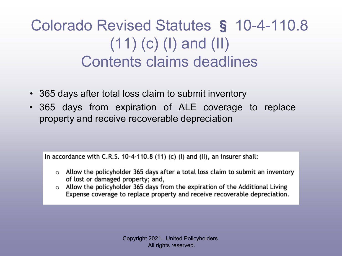## Colorado Revised Statutes § 10-4-110.8 (11) (c) (I) and (II) Contents claims deadlines

- 365 days after total loss claim to submit inventory
- 365 days from expiration of ALE coverage to replace property and receive recoverable depreciation

In accordance with C.R.S.  $10-4-110.8$  (11) (c) (I) and (II), an insurer shall:

- $\circ$  Allow the policyholder 365 days after a total loss claim to submit an inventory of lost or damaged property; and,
- Allow the policyholder 365 days from the expiration of the Additional Living  $\circ$ Expense coverage to replace property and receive recoverable depreciation.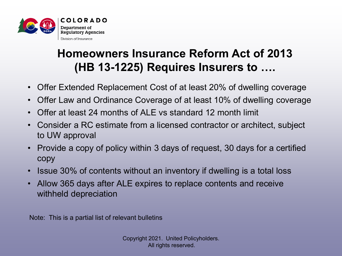

### **Homeowners Insurance Reform Act of 2013 (HB 13-1225) Requires Insurers to ….**

- Offer Extended Replacement Cost of at least 20% of dwelling coverage
- Offer Law and Ordinance Coverage of at least 10% of dwelling coverage
- Offer at least 24 months of ALE vs standard 12 month limit
- Consider a RC estimate from a licensed contractor or architect, subject to UW approval
- Provide a copy of policy within 3 days of request, 30 days for a certified copy
- Issue 30% of contents without an inventory if dwelling is a total loss
- Allow 365 days after ALE expires to replace contents and receive withheld depreciation

Note: This is a partial list of relevant bulletins